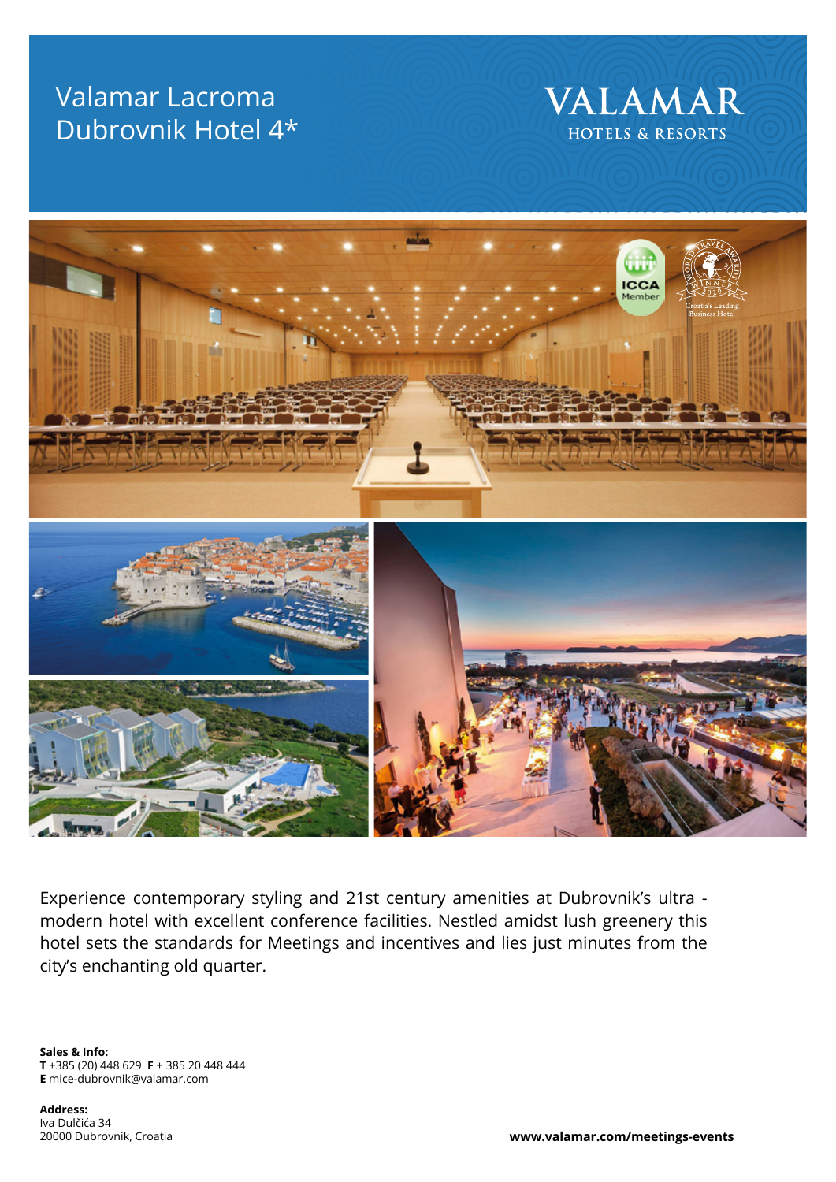## Valamar Lacroma Dubrovnik Hotel 4\*





Experience contemporary styling and 21st century amenities at Dubrovnik's ultra modern hotel with excellent conference facilities. Nestled amidst lush greenery this hotel sets the standards for Meetings and incentives and lies just minutes from the city's enchanting old quarter.

**Sales & Info: T** +385 (20) 448 629 **F** + 385 20 448 444 **E** mice-dubrovnik@valamar.com

**Address:** Iva Dulčića 34